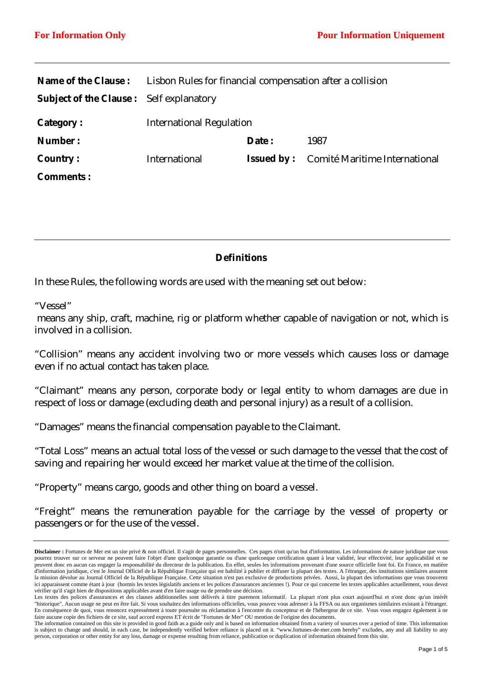| <b>Name of the Clause :</b>                    | Lisbon Rules for financial compensation after a collision |       |                                                 |
|------------------------------------------------|-----------------------------------------------------------|-------|-------------------------------------------------|
| <b>Subject of the Clause:</b> Self explanatory |                                                           |       |                                                 |
| <b>Category:</b>                               | <b>International Regulation</b>                           |       |                                                 |
| Number:                                        |                                                           | Date: | 1987                                            |
| <b>Country:</b>                                | <b>International</b>                                      |       | <b>Issued by:</b> Comité Maritime International |
| <b>Comments:</b>                               |                                                           |       |                                                 |

## **Definitions**

In these Rules, the following words are used with the meaning set out below:

"Vessel"

 means any ship, craft, machine, rig or platform whether capable of navigation or not, which is involved in a collision.

"Collision" means any accident involving two or more vessels which causes loss or damage even if no actual contact has taken place.

"Claimant" means any person, corporate body or legal entity to whom damages are due in respect of loss or damage (excluding death and personal injury) as a result of a collision.

"Damages" means the financial compensation payable to the Claimant.

"Total Loss" means an actual total loss of the vessel or such damage to the vessel that the cost of saving and repairing her would exceed her market value at the time of the collision.

"Property" means cargo, goods and other thing on board a vessel.

"Freight" means the remuneration payable for the carriage by the vessel of property or passengers or for the use of the vessel.

**Disclaimer :** Fortunes de Mer est un site privé & non officiel. Il s'agit de pages personnelles. Ces pages n'ont qu'un but d'information. Les informations de nature juridique que vous pourrez trouver sur ce serveur ne peuvent faire l'objet d'une quelconque garantie ou d'une quelconque certification quant à leur validité, leur effectivité, leur applicabilité et ne peuvent donc en aucun cas engager la responsabilité du directeur de la publication. En effet, seules les informations provenant d'une source officielle font foi. En France, en matière d'information juridique, c'est le Journal Officiel de la République Française qui est habilité à publier et diffuser la plupart des textes. A l'étranger, des institutions similaires assurent la mission dévolue au Journal Officiel de la République Française. Cette situation n'est pas exclusive de productions privées. Aussi, la plupart des informations que vous trouverez ici apparaissent comme étant à jour (hormis les textes législatifs anciens et les polices d'assurances anciennes !). Pour ce qui concerne les textes applicables actuellement, vous devez vérifier qu'il s'agit bien de dispositions applicables avant d'en faire usage ou de prendre une décision.

Les textes des polices d'assurances et des clauses additionnelles sont délivrés à titre purement informatif. La plupart n'ont plus court aujourd'hui et n'ont donc qu'un intérêt "historique". Aucun usage ne peut en être fait. Si vous souhaitez des informations officielles, vous pouvez vous adresser à la FFSA ou aux organismes similaires existant à l'étranger. En conséquence de quoi, vous renoncez expressément à toute poursuite ou réclamation à l'encontre du concepteur et de l'hébergeur de ce site. Vous vous engagez également à ne faire aucune copie des fichiers de ce site, sauf accord express ET écrit de "Fortunes de Mer" OU mention de l'origine des documents.

The information contained on this site is provided in good faith as a guide only and is based on information obtained from a variety of sources over a period of time. This information is subject to change and should, in each case, be independently verified before reliance is placed on it. "www.fortunes-de-mer.com hereby" excludes, any and all liability to any person, corporation or other entity for any loss, damage or expense resulting from reliance, publication or duplication of information obtained from this site.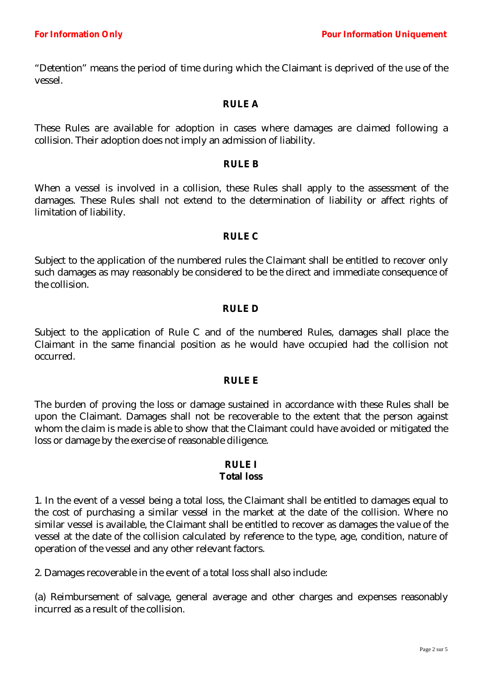"Detention" means the period of time during which the Claimant is deprived of the use of the vessel.

## **RULE A**

These Rules are available for adoption in cases where damages are claimed following a collision. Their adoption does not imply an admission of liability.

## **RULE B**

When a vessel is involved in a collision, these Rules shall apply to the assessment of the damages. These Rules shall not extend to the determination of liability or affect rights of limitation of liability.

#### **RULE C**

Subject to the application of the numbered rules the Claimant shall be entitled to recover only such damages as may reasonably be considered to be the direct and immediate consequence of the collision.

## **RULE D**

Subject to the application of Rule C and of the numbered Rules, damages shall place the Claimant in the same financial position as he would have occupied had the collision not occurred.

#### **RULE E**

The burden of proving the loss or damage sustained in accordance with these Rules shall be upon the Claimant. Damages shall not be recoverable to the extent that the person against whom the claim is made is able to show that the Claimant could have avoided or mitigated the loss or damage by the exercise of reasonable diligence.

#### **RULE I Total loss**

1. In the event of a vessel being a total loss, the Claimant shall be entitled to damages equal to the cost of purchasing a similar vessel in the market at the date of the collision. Where no similar vessel is available, the Claimant shall be entitled to recover as damages the value of the vessel at the date of the collision calculated by reference to the type, age, condition, nature of operation of the vessel and any other relevant factors.

2. Damages recoverable in the event of a total loss shall also include:

(a) Reimbursement of salvage, general average and other charges and expenses reasonably incurred as a result of the collision.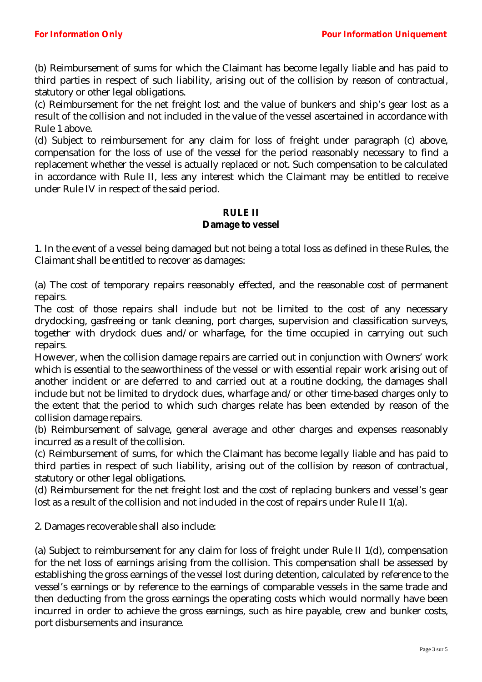(b) Reimbursement of sums for which the Claimant has become legally liable and has paid to third parties in respect of such liability, arising out of the collision by reason of contractual, statutory or other legal obligations.

(c) Reimbursement for the net freight lost and the value of bunkers and ship's gear lost as a result of the collision and not included in the value of the vessel ascertained in accordance with Rule 1 above.

(d) Subject to reimbursement for any claim for loss of freight under paragraph (c) above, compensation for the loss of use of the vessel for the period reasonably necessary to find a replacement whether the vessel is actually replaced or not. Such compensation to be calculated in accordance with Rule II, less any interest which the Claimant may be entitled to receive under Rule IV in respect of the said period.

# **RULE II Damage to vessel**

1. In the event of a vessel being damaged but not being a total loss as defined in these Rules, the Claimant shall be entitled to recover as damages:

(a) The cost of temporary repairs reasonably effected, and the reasonable cost of permanent repairs.

The cost of those repairs shall include but not be limited to the cost of any necessary drydocking, gasfreeing or tank cleaning, port charges, supervision and classification surveys, together with drydock dues and/or wharfage, for the time occupied in carrying out such repairs.

However, when the collision damage repairs are carried out in conjunction with Owners' work which is essential to the seaworthiness of the vessel or with essential repair work arising out of another incident or are deferred to and carried out at a routine docking, the damages shall include but not be limited to drydock dues, wharfage and/or other time-based charges only to the extent that the period to which such charges relate has been extended by reason of the collision damage repairs.

(b) Reimbursement of salvage, general average and other charges and expenses reasonably incurred as a result of the collision.

(c) Reimbursement of sums, for which the Claimant has become legally liable and has paid to third parties in respect of such liability, arising out of the collision by reason of contractual, statutory or other legal obligations.

(d) Reimbursement for the net freight lost and the cost of replacing bunkers and vessel's gear lost as a result of the collision and not included in the cost of repairs under Rule II 1(a).

2. Damages recoverable shall also include:

(a) Subject to reimbursement for any claim for loss of freight under Rule II 1(d), compensation for the net loss of earnings arising from the collision. This compensation shall be assessed by establishing the gross earnings of the vessel lost during detention, calculated by reference to the vessel's earnings or by reference to the earnings of comparable vessels in the same trade and then deducting from the gross earnings the operating costs which would normally have been incurred in order to achieve the gross earnings, such as hire payable, crew and bunker costs, port disbursements and insurance.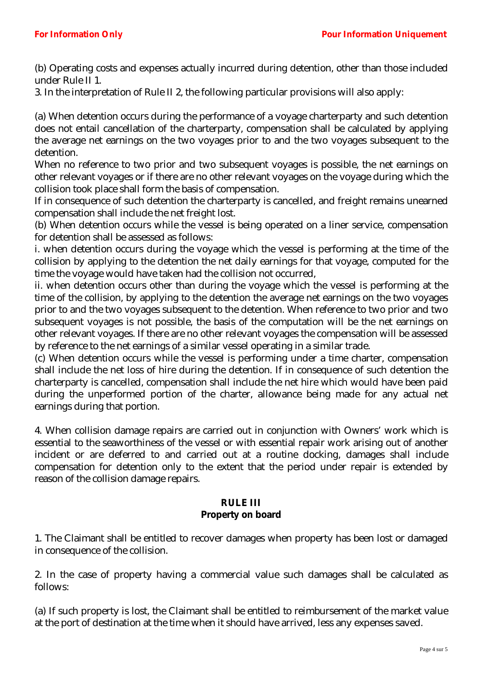(b) Operating costs and expenses actually incurred during detention, other than those included under Rule II 1.

3. In the interpretation of Rule II 2, the following particular provisions will also apply:

(a) When detention occurs during the performance of a voyage charterparty and such detention does not entail cancellation of the charterparty, compensation shall be calculated by applying the average net earnings on the two voyages prior to and the two voyages subsequent to the detention.

When no reference to two prior and two subsequent voyages is possible, the net earnings on other relevant voyages or if there are no other relevant voyages on the voyage during which the collision took place shall form the basis of compensation.

If in consequence of such detention the charterparty is cancelled, and freight remains unearned compensation shall include the net freight lost.

(b) When detention occurs while the vessel is being operated on a liner service, compensation for detention shall be assessed as follows:

i. when detention occurs during the voyage which the vessel is performing at the time of the collision by applying to the detention the net daily earnings for that voyage, computed for the time the voyage would have taken had the collision not occurred,

ii. when detention occurs other than during the voyage which the vessel is performing at the time of the collision, by applying to the detention the average net earnings on the two voyages prior to and the two voyages subsequent to the detention. When reference to two prior and two subsequent voyages is not possible, the basis of the computation will be the net earnings on other relevant voyages. If there are no other relevant voyages the compensation will be assessed by reference to the net earnings of a similar vessel operating in a similar trade.

(c) When detention occurs while the vessel is performing under a time charter, compensation shall include the net loss of hire during the detention. If in consequence of such detention the charterparty is cancelled, compensation shall include the net hire which would have been paid during the unperformed portion of the charter, allowance being made for any actual net earnings during that portion.

4. When collision damage repairs are carried out in conjunction with Owners' work which is essential to the seaworthiness of the vessel or with essential repair work arising out of another incident or are deferred to and carried out at a routine docking, damages shall include compensation for detention only to the extent that the period under repair is extended by reason of the collision damage repairs.

## **RULE III Property on board**

1. The Claimant shall be entitled to recover damages when property has been lost or damaged in consequence of the collision.

2. In the case of property having a commercial value such damages shall be calculated as follows:

(a) If such property is lost, the Claimant shall be entitled to reimbursement of the market value at the port of destination at the time when it should have arrived, less any expenses saved.